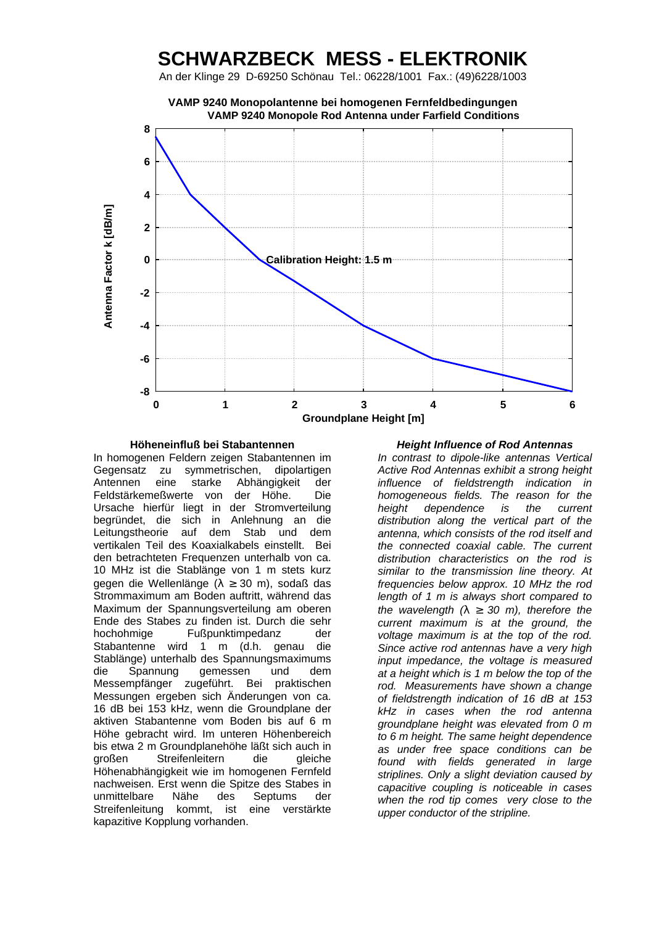## **SCHWARZBECK MESS - ELEKTRONIK**

An der Klinge 29 D-69250 Schönau Tel.: 06228/1001 Fax.: (49)6228/1003



**Höheneinfluß bei Stabantennen** *Height Influence of Rod Antennas* In homogenen Feldern zeigen Stabantennen im Gegensatz zu symmetrischen, dipolartigen Antennen eine starke Abhängigkeit der Feldstärkemeßwerte von der Höhe. Die Ursache hierfür liegt in der Stromverteilung begründet, die sich in Anlehnung an die Leitungstheorie auf dem Stab und dem vertikalen Teil des Koaxialkabels einstellt. Bei den betrachteten Frequenzen unterhalb von ca. 10 MHz ist die Stablänge von 1 m stets kurz gegen die Wellenlänge (λ ≥ 30 m), sodaß das Strommaximum am Boden auftritt, während das Maximum der Spannungsverteilung am oberen Ende des Stabes zu finden ist. Durch die sehr hochohmige Fußpunktimpedanz der Stabantenne wird 1 m (d.h. genau die Stablänge) unterhalb des Spannungsmaximums die Spannung gemessen und dem Messempfänger zugeführt. Bei praktischen Messungen ergeben sich Änderungen von ca. 16 dB bei 153 kHz, wenn die Groundplane der aktiven Stabantenne vom Boden bis auf 6 m Höhe gebracht wird. Im unteren Höhenbereich bis etwa 2 m Groundplanehöhe läßt sich auch in großen Streifenleitern die gleiche Höhenabhängigkeit wie im homogenen Fernfeld nachweisen. Erst wenn die Spitze des Stabes in unmittelbare Nähe des Septums der Streifenleitung kommt, ist eine verstärkte kapazitive Kopplung vorhanden.

*In contrast to dipole-like antennas Vertical Active Rod Antennas exhibit a strong height influence of fieldstrength indication in homogeneous fields. The reason for the height dependence is the current distribution along the vertical part of the antenna, which consists of the rod itself and the connected coaxial cable. The current distribution characteristics on the rod is similar to the transmission line theory. At frequencies below approx. 10 MHz the rod length of 1 m is always short compared to the wavelength (l ³ 30 m), therefore the current maximum is at the ground, the voltage maximum is at the top of the rod. Since active rod antennas have a very high input impedance, the voltage is measured at a height which is 1 m below the top of the rod. Measurements have shown a change of fieldstrength indication of 16 dB at 153 kHz in cases when the rod antenna groundplane height was elevated from 0 m to 6 m height. The same height dependence as under free space conditions can be found with fields generated in large striplines. Only a slight deviation caused by capacitive coupling is noticeable in cases when the rod tip comes very close to the upper conductor of the stripline.*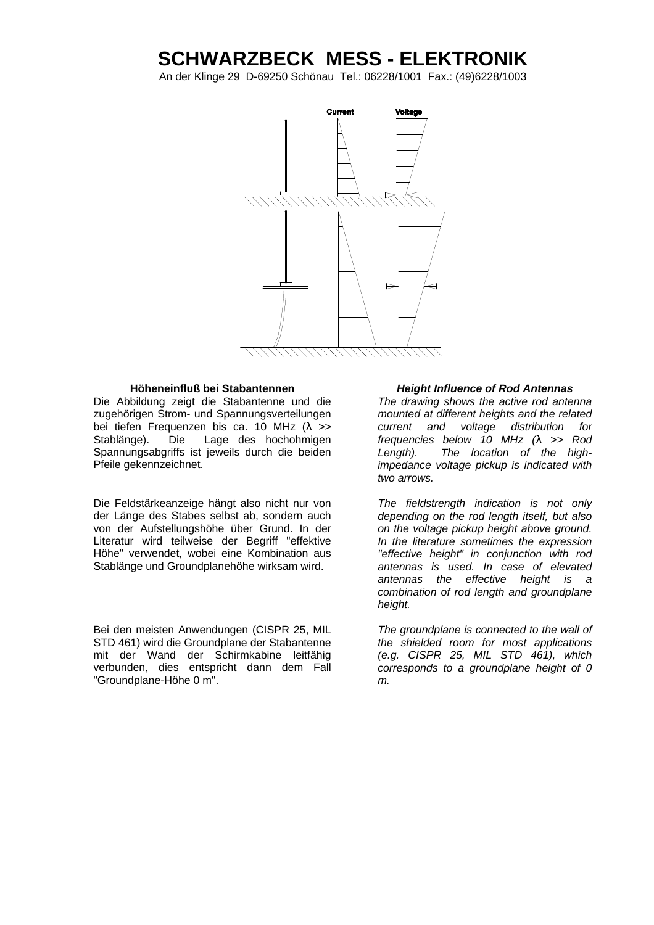# **SCHWARZBECK MESS - ELEKTRONIK**

An der Klinge 29 D-69250 Schönau Tel.: 06228/1001 Fax.: (49)6228/1003



Die Abbildung zeigt die Stabantenne und die zugehörigen Strom- und Spannungsverteilungen bei tiefen Frequenzen bis ca. 10 MHz (λ >> Stablänge). Die Lage des hochohmigen Spannungsabgriffs ist jeweils durch die beiden Pfeile gekennzeichnet.

Die Feldstärkeanzeige hängt also nicht nur von der Länge des Stabes selbst ab, sondern auch von der Aufstellungshöhe über Grund. In der Literatur wird teilweise der Begriff "effektive Höhe" verwendet, wobei eine Kombination aus Stablänge und Groundplanehöhe wirksam wird.

Bei den meisten Anwendungen (CISPR 25, MIL STD 461) wird die Groundplane der Stabantenne mit der Wand der Schirmkabine leitfähig verbunden, dies entspricht dann dem Fall "Groundplane-Höhe 0 m".

### **Höheneinfluß bei Stabantennen** *Height Influence of Rod Antennas*

*The drawing shows the active rod antenna mounted at different heights and the related current and voltage distribution for frequencies below 10 MHz (l >> Rod Length). The location of the highimpedance voltage pickup is indicated with two arrows.*

*The fieldstrength indication is not only depending on the rod length itself, but also on the voltage pickup height above ground. In the literature sometimes the expression "effective height" in conjunction with rod antennas is used. In case of elevated antennas the effective height is a combination of rod length and groundplane height.*

*The groundplane is connected to the wall of the shielded room for most applications (e.g. CISPR 25, MIL STD 461), which corresponds to a groundplane height of 0 m.*